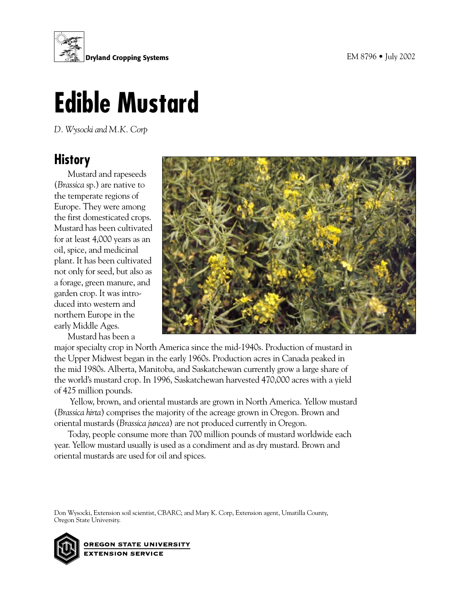

# **Edible Mustard**

*D. Wysocki and M.K. Corp*

# **History**

Mustard and rapeseeds (*Brassica* sp.) are native to the temperate regions of Europe. They were among the first domesticated crops. Mustard has been cultivated for at least 4,000 years as an oil, spice, and medicinal plant. It has been cultivated not only for seed, but also as a forage, green manure, and garden crop. It was introduced into western and northern Europe in the early Middle Ages.

Mustard has been a



major specialty crop in North America since the mid-1940s. Production of mustard in the Upper Midwest began in the early 1960s. Production acres in Canada peaked in the mid 1980s. Alberta, Manitoba, and Saskatchewan currently grow a large share of the world's mustard crop. In 1996, Saskatchewan harvested 470,000 acres with a yield of 425 million pounds.

 Yellow, brown, and oriental mustards are grown in North America. Yellow mustard (*Brassica hirta*) comprises the majority of the acreage grown in Oregon. Brown and oriental mustards (*Brassica juncea*) are not produced currently in Oregon.

Today, people consume more than 700 million pounds of mustard worldwide each year. Yellow mustard usually is used as a condiment and as dry mustard. Brown and oriental mustards are used for oil and spices.

Don Wysocki, Extension soil scientist, CBARC; and Mary K. Corp, Extension agent, Umatilla County, Oregon State University.

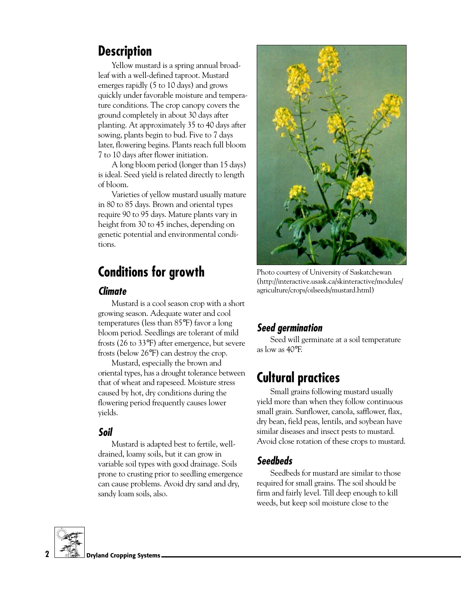# **Description**

Yellow mustard is a spring annual broadleaf with a well-defined taproot. Mustard emerges rapidly (5 to 10 days) and grows quickly under favorable moisture and temperature conditions. The crop canopy covers the ground completely in about 30 days after planting. At approximately 35 to 40 days after sowing, plants begin to bud. Five to 7 days later, flowering begins. Plants reach full bloom 7 to 10 days after flower initiation.

A long bloom period (longer than 15 days) is ideal. Seed yield is related directly to length of bloom.

Varieties of yellow mustard usually mature in 80 to 85 days. Brown and oriental types require 90 to 95 days. Mature plants vary in height from 30 to 45 inches, depending on genetic potential and environmental conditions.

# **Conditions for growth**

## **Climate**

Mustard is a cool season crop with a short growing season. Adequate water and cool temperatures (less than 85°F) favor a long bloom period. Seedlings are tolerant of mild frosts (26 to 33°F) after emergence, but severe frosts (below 26°F) can destroy the crop.

Mustard, especially the brown and oriental types, has a drought tolerance between that of wheat and rapeseed. Moisture stress caused by hot, dry conditions during the flowering period frequently causes lower yields.

## **Soil**

Mustard is adapted best to fertile, welldrained, loamy soils, but it can grow in variable soil types with good drainage. Soils prone to crusting prior to seedling emergence can cause problems. Avoid dry sand and dry, sandy loam soils, also.



Photo courtesy of University of Saskatchewan (http://interactive.usask.ca/skinteractive/modules/ agriculture/crops/oilseeds/mustard.html)

# **Seed germination**

Seed will germinate at a soil temperature as low as 40°F.

# **Cultural practices**

Small grains following mustard usually yield more than when they follow continuous small grain. Sunflower, canola, safflower, flax, dry bean, field peas, lentils, and soybean have similar diseases and insect pests to mustard. Avoid close rotation of these crops to mustard.

# **Seedbeds**

Seedbeds for mustard are similar to those required for small grains. The soil should be firm and fairly level. Till deep enough to kill weeds, but keep soil moisture close to the

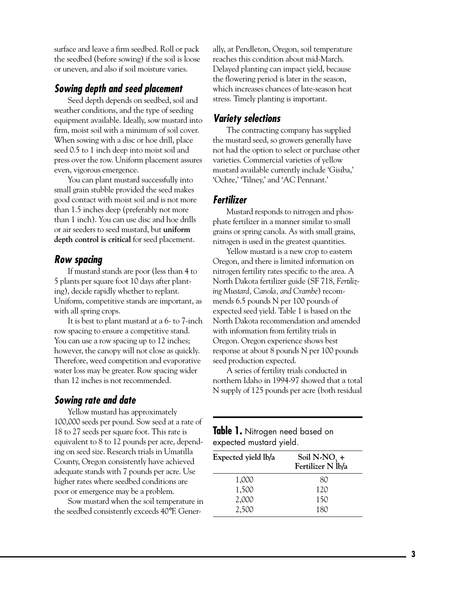surface and leave a firm seedbed. Roll or pack the seedbed (before sowing) if the soil is loose or uneven, and also if soil moisture varies.

## **Sowing depth and seed placement**

Seed depth depends on seedbed, soil and weather conditions, and the type of seeding equipment available. Ideally, sow mustard into firm, moist soil with a minimum of soil cover. When sowing with a disc or hoe drill, place seed 0.5 to 1 inch deep into moist soil and press over the row. Uniform placement assures even, vigorous emergence.

You can plant mustard successfully into small grain stubble provided the seed makes good contact with moist soil and is not more than 1.5 inches deep (preferably not more than 1 inch). You can use disc and hoe drills or air seeders to seed mustard, but **uniform depth control is critical** for seed placement.

## **Row spacing**

If mustard stands are poor (less than 4 to 5 plants per square foot 10 days after planting), decide rapidly whether to replant. Uniform, competitive stands are important, as with all spring crops.

It is best to plant mustard at a 6- to 7-inch row spacing to ensure a competitive stand. You can use a row spacing up to 12 inches; however, the canopy will not close as quickly. Therefore, weed competition and evaporative water loss may be greater. Row spacing wider than 12 inches is not recommended.

## **Sowing rate and date**

Yellow mustard has approximately 100,000 seeds per pound. Sow seed at a rate of 18 to 27 seeds per square foot. This rate is equivalent to 8 to 12 pounds per acre, depending on seed size. Research trials in Umatilla County, Oregon consistently have achieved adequate stands with 7 pounds per acre. Use higher rates where seedbed conditions are poor or emergence may be a problem.

Sow mustard when the soil temperature in the seedbed consistently exceeds 40°F. Generally, at Pendleton, Oregon, soil temperature reaches this condition about mid-March. Delayed planting can impact yield, because the flowering period is later in the season, which increases chances of late-season heat stress. Timely planting is important.

# **Variety selections**

The contracting company has supplied the mustard seed, so growers generally have not had the option to select or purchase other varieties. Commercial varieties of yellow mustard available currently include 'Gisiba,' 'Ochre,' 'Tilney,' and 'AC Pennant.'

## **Fertilizer**

Mustard responds to nitrogen and phosphate fertilizer in a manner similar to small grains or spring canola. As with small grains, nitrogen is used in the greatest quantities.

Yellow mustard is a new crop to eastern Oregon, and there is limited information on nitrogen fertility rates specific to the area. A North Dakota fertilizer guide (SF 718, *Fertilizing Mustard, Canola, and Crambe*) recommends 6.5 pounds N per 100 pounds of expected seed yield. Table 1 is based on the North Dakota recommendation and amended with information from fertility trials in Oregon. Oregon experience shows best response at about 8 pounds N per 100 pounds seed production expected.

A series of fertility trials conducted in northern Idaho in 1994-97 showed that a total N supply of 125 pounds per acre (both residual

### **Table 1.** Nitrogen need based on expected mustard yield.

| Expected yield lb/a | Soil N-NO <sub>3</sub> +<br>Fertilizer N <sup>1</sup> b/a |
|---------------------|-----------------------------------------------------------|
| 1,000               | 80                                                        |
| 1,500               | 120                                                       |
| 2,000               | 150                                                       |
| 2,500               | 180                                                       |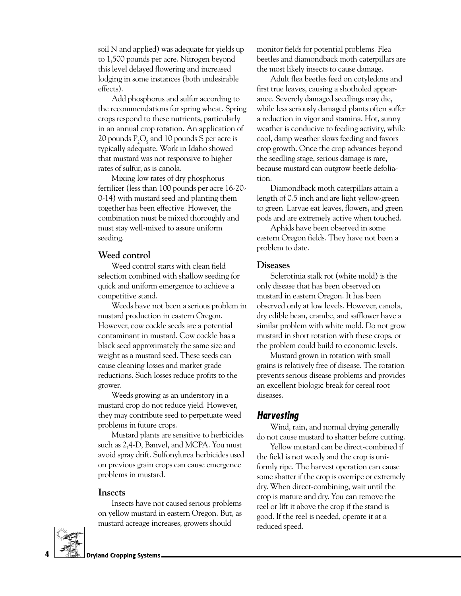soil N and applied) was adequate for yields up to 1,500 pounds per acre. Nitrogen beyond this level delayed flowering and increased lodging in some instances (both undesirable effects).

Add phosphorus and sulfur according to the recommendations for spring wheat. Spring crops respond to these nutrients, particularly in an annual crop rotation. An application of 20 pounds  $P_2O_5$  and 10 pounds S per acre is typically adequate. Work in Idaho showed that mustard was not responsive to higher rates of sulfur, as is canola.

Mixing low rates of dry phosphorus fertilizer (less than 100 pounds per acre 16-20- 0-14) with mustard seed and planting them together has been effective. However, the combination must be mixed thoroughly and must stay well-mixed to assure uniform seeding.

#### **Weed control**

Weed control starts with clean field selection combined with shallow seeding for quick and uniform emergence to achieve a competitive stand.

Weeds have not been a serious problem in mustard production in eastern Oregon. However, cow cockle seeds are a potential contaminant in mustard. Cow cockle has a black seed approximately the same size and weight as a mustard seed. These seeds can cause cleaning losses and market grade reductions. Such losses reduce profits to the grower.

Weeds growing as an understory in a mustard crop do not reduce yield. However, they may contribute seed to perpetuate weed problems in future crops.

Mustard plants are sensitive to herbicides such as 2,4-D, Banvel, and MCPA. You must avoid spray drift. Sulfonylurea herbicides used on previous grain crops can cause emergence problems in mustard.

#### **Insects**

Insects have not caused serious problems on yellow mustard in eastern Oregon. But, as mustard acreage increases, growers should



Adult flea beetles feed on cotyledons and first true leaves, causing a shotholed appearance. Severely damaged seedlings may die, while less seriously damaged plants often suffer a reduction in vigor and stamina. Hot, sunny weather is conducive to feeding activity, while cool, damp weather slows feeding and favors crop growth. Once the crop advances beyond the seedling stage, serious damage is rare, because mustard can outgrow beetle defoliation.

Diamondback moth caterpillars attain a length of 0.5 inch and are light yellow-green to green. Larvae eat leaves, flowers, and green pods and are extremely active when touched.

Aphids have been observed in some eastern Oregon fields. They have not been a problem to date.

#### **Diseases**

Sclerotinia stalk rot (white mold) is the only disease that has been observed on mustard in eastern Oregon. It has been observed only at low levels. However, canola, dry edible bean, crambe, and safflower have a similar problem with white mold. Do not grow mustard in short rotation with these crops, or the problem could build to economic levels.

Mustard grown in rotation with small grains is relatively free of disease. The rotation prevents serious disease problems and provides an excellent biologic break for cereal root diseases.

## **Harvesting**

Wind, rain, and normal drying generally do not cause mustard to shatter before cutting.

Yellow mustard can be direct-combined if the field is not weedy and the crop is uniformly ripe. The harvest operation can cause some shatter if the crop is overripe or extremely dry. When direct-combining, wait until the crop is mature and dry. You can remove the reel or lift it above the crop if the stand is good. If the reel is needed, operate it at a reduced speed.

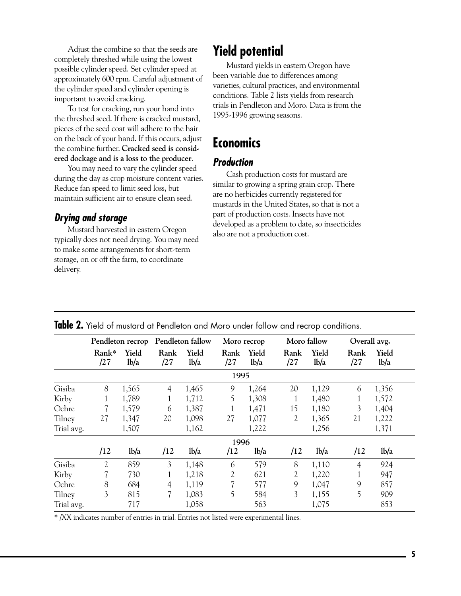Adjust the combine so that the seeds are completely threshed while using the lowest possible cylinder speed. Set cylinder speed at approximately 600 rpm. Careful adjustment of the cylinder speed and cylinder opening is important to avoid cracking.

To test for cracking, run your hand into the threshed seed. If there is cracked mustard, pieces of the seed coat will adhere to the hair on the back of your hand. If this occurs, adjust the combine further. **Cracked seed is considered dockage and is a loss to the producer**.

You may need to vary the cylinder speed during the day as crop moisture content varies. Reduce fan speed to limit seed loss, but maintain sufficient air to ensure clean seed.

# **Drying and storage**

Mustard harvested in eastern Oregon typically does not need drying. You may need to make some arrangements for short-term storage, on or off the farm, to coordinate delivery.

# **Yield potential**

Mustard yields in eastern Oregon have been variable due to differences among varieties, cultural practices, and environmental conditions. Table 2 lists yields from research trials in Pendleton and Moro. Data is from the 1995-1996 growing seasons.

# **Economics**

# **Production**

Cash production costs for mustard are similar to growing a spring grain crop. There are no herbicides currently registered for mustards in the United States, so that is not a part of production costs. Insects have not developed as a problem to date, so insecticides also are not a production cost.

|            | Pendleton recrop |                           | Pendleton fallow |                            | Moro recrop |                            | Moro fallow |                           | Overall avg.   |                           |
|------------|------------------|---------------------------|------------------|----------------------------|-------------|----------------------------|-------------|---------------------------|----------------|---------------------------|
|            | Rank*<br>/27     | Yield<br>1 <sub>b/a</sub> | Rank<br>/27      | Yield<br>1 <sub>b</sub> /a | Rank<br>/27 | Yield<br>1 <sub>b</sub> /a | Rank<br>/27 | Yield<br>1 <sub>b/a</sub> | Rank<br>/27    | Yield<br>1 <sub>b/a</sub> |
|            |                  |                           |                  |                            | 1995        |                            |             |                           |                |                           |
| Gisiba     | 8                | 1,565                     | $\overline{4}$   | 1,465                      | 9           | 1,264                      | 20          | 1,129                     | 6              | 1,356                     |
| Kirby      | 1                | 1,789                     | 1                | 1,712                      | 5           | 1,308                      | 1           | 1,480                     | 1              | 1,572                     |
| Ochre      |                  | 1,579                     | 6                | 1,387                      |             | 1,471                      | 15          | 1,180                     | 3              | 1,404                     |
| Tilney     | 27               | 1,347                     | 20               | 1,098                      | 27          | 1,077                      | 2           | 1,365                     | 21             | 1,222                     |
| Trial avg. |                  | 1,507                     |                  | 1,162                      |             | 1,222                      |             | 1,256                     |                | 1,371                     |
|            |                  |                           |                  |                            | 1996        |                            |             |                           |                |                           |
|            | /12              | 1 <sub>b</sub> /a         | /12              | 1 <sub>b</sub> /a          | /12         | 1 <sub>b</sub> /a          | /12         | 1 <sub>b</sub> /a         | /12            | 1 <sub>b/a</sub>          |
| Gisiba     | $\overline{2}$   | 859                       | 3                | 1,148                      | 6           | 579                        | 8           | 1,110                     | $\overline{4}$ | 924                       |
| Kirby      |                  | 730                       | 1                | 1,218                      | 2           | 621                        | 2           | 1,220                     |                | 947                       |
| Ochre      | 8                | 684                       | 4                | 1,119                      | 7           | 577                        | 9           | 1,047                     | 9              | 857                       |
| Tilney     | 3                | 815                       | 7                | 1,083                      | 5           | 584                        | 3           | 1,155                     | 5              | 909                       |
| Trial avg. |                  | 717                       |                  | 1,058                      |             | 563                        |             | 1,075                     |                | 853                       |
|            |                  |                           |                  |                            |             |                            |             |                           |                |                           |

**Table 2.** Yield of mustard at Pendleton and Moro under fallow and recrop conditions.

\* /XX indicates number of entries in trial. Entries not listed were experimental lines.